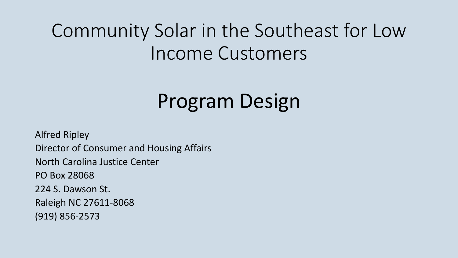# Community Solar in the Southeast for Low Income Customers

# Program Design

**Alfred Ripley** Director of Consumer and Housing Affairs North Carolina Justice Center PO Box 28068 224 S. Dawson St. Raleigh NC 27611-8068 (919) 856-2573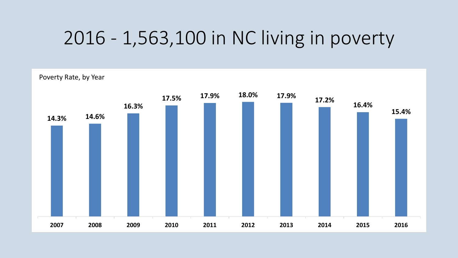### 2016 - 1,563,100 in NC living in poverty

Poverty Rate, by Year

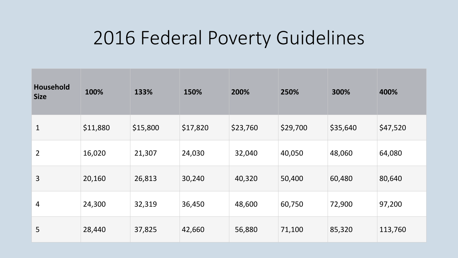### 2016 Federal Poverty Guidelines

| <b>Household</b><br><b>Size</b> | 100%     | 133%     | 150%     | 200%     | 250%     | 300%     | 400%     |
|---------------------------------|----------|----------|----------|----------|----------|----------|----------|
| $\mathbf 1$                     | \$11,880 | \$15,800 | \$17,820 | \$23,760 | \$29,700 | \$35,640 | \$47,520 |
| $\overline{2}$                  | 16,020   | 21,307   | 24,030   | 32,040   | 40,050   | 48,060   | 64,080   |
| 3                               | 20,160   | 26,813   | 30,240   | 40,320   | 50,400   | 60,480   | 80,640   |
| 4                               | 24,300   | 32,319   | 36,450   | 48,600   | 60,750   | 72,900   | 97,200   |
| 5                               | 28,440   | 37,825   | 42,660   | 56,880   | 71,100   | 85,320   | 113,760  |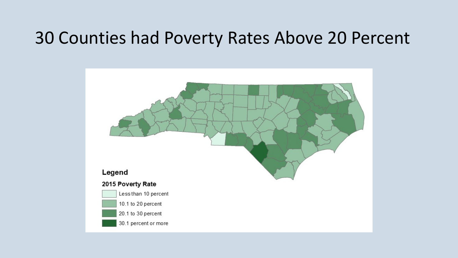### 30 Counties had Poverty Rates Above 20 Percent

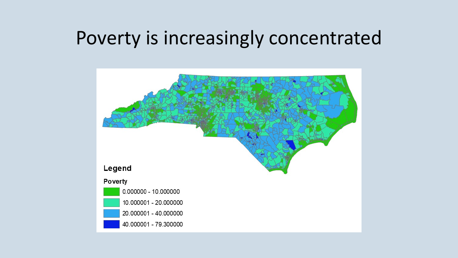### Poverty is increasingly concentrated

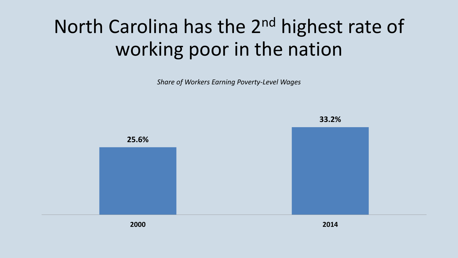# North Carolina has the 2<sup>nd</sup> highest rate of working poor in the nation

**Share of Workers Earning Poverty-Level Wages** 

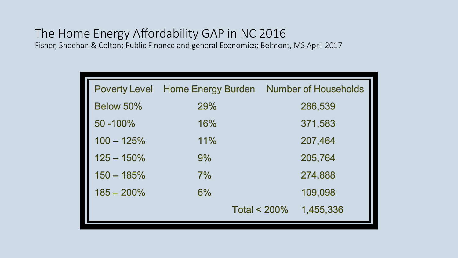#### The Home Energy Affordability GAP in NC 2016

Fisher, Sheehan & Colton; Public Finance and general Economics; Belmont, MS April 2017

|               | <b>Poverty Level Home Energy Burden</b> | <b>Number of Households</b> |
|---------------|-----------------------------------------|-----------------------------|
| Below 50%     | <b>29%</b>                              | 286,539                     |
| 50 - 100%     | 16%                                     | 371,583                     |
| $100 - 125%$  | 11%                                     | 207,464                     |
| $125 - 150\%$ | 9%                                      | 205,764                     |
| $150 - 185%$  | 7%                                      | 274,888                     |
| $185 - 200\%$ | 6%                                      | 109,098                     |
|               |                                         | Total $<$ 200%<br>1,455,336 |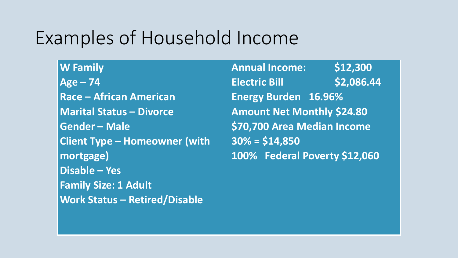## Examples of Household Income

**W Family Age – 74 Race – African American Marital Status – Divorce Gender – Male Client Type – Homeowner (with mortgage) Disable – Yes Family Size: 1 Adult Work Status – Retired/Disable**

**Annual Income: \$12,300 Electric Bill 62,086.44 Energy Burden 16.96% Amount Net Monthly \$24.80** \$70,700 Area Median Income **30% = \$14,850 100% Federal Poverty \$12,060**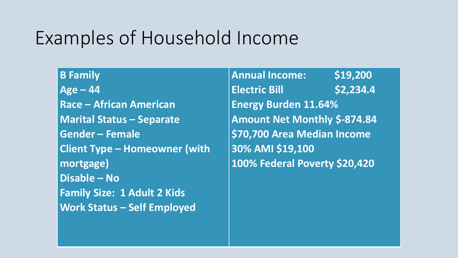### Examples of Household Income

**B Family**  $Age - 44$ **Race – African American Marital Status – Separate Gender – Female Client Type – Homeowner (with mortgage) Disable – No Family Size: 1 Adult 2 Kids Work Status – Self Employed**

**Annual Income: \$19,200 Electric Bill S2,234.4 Energy Burden 11.64%**  Amount Net Monthly \$-874.84 \$70,700 Area Median Income **30% AMI \$19,100 100% Federal Poverty \$20,420**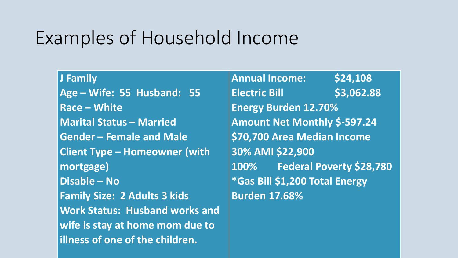### Examples of Household Income

**J Family Age – Wife: 55 Husband: 55 Race – White Marital Status – Married Gender – Female and Male Client Type – Homeowner (with mortgage) Disable – No Family Size: 2 Adults 3 kids Work Status: Husband works and wife is stay at home mom due to lillness of one of the children.** 

**Annual Income: \$24,108 Electric Bill 53,062.88 Energy Burden 12.70%**  Amount Net Monthly \$-597.24 \$70,700 Area Median Income **30% AMI \$22,900 100% Federal Poverty \$28,780 \*Gas Bill \$1,200 Total Energy Burden 17.68%**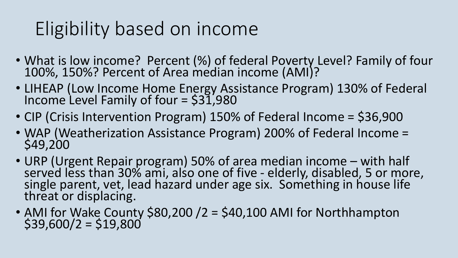# Eligibility based on income

- What is low income? Percent (%) of federal Poverty Level? Family of four 100%, 150%? Percent of Area median income (AMI)?
- LIHEAP (Low Income Home Energy Assistance Program) 130% of Federal Income Level Family of four  $=$  \$31,980
- CIP (Crisis Intervention Program) 150% of Federal Income =  $$36,900$
- WAP (Weatherization Assistance Program) 200% of Federal Income = \$49,200
- URP (Urgent Repair program) 50% of area median income with half served less than 30% ami, also one of five - elderly, disabled, 5 or more,<br>single parent, vet, lead hazard under age six. Something in house life single parent, vet, lead hazard under age six. Something in house life threat or displacing.
- AMI for Wake County \$80,200 /2 = \$40,100 AMI for Northhampton \$39,600/2 = \$19,800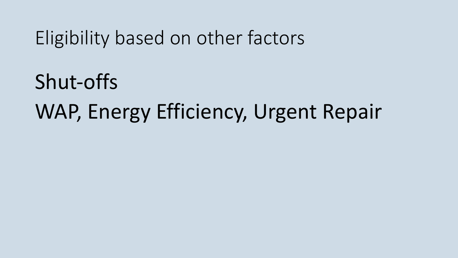Eligibility based on other factors

Shut-offs WAP, Energy Efficiency, Urgent Repair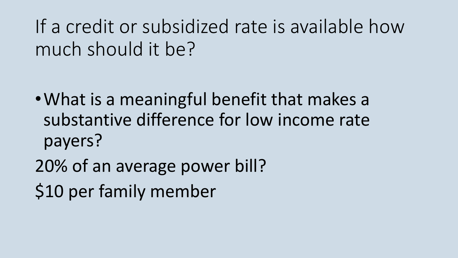If a credit or subsidized rate is available how much should it be?

- What is a meaningful benefit that makes a substantive difference for low income rate payers?
- 20% of an average power bill? \$10 per family member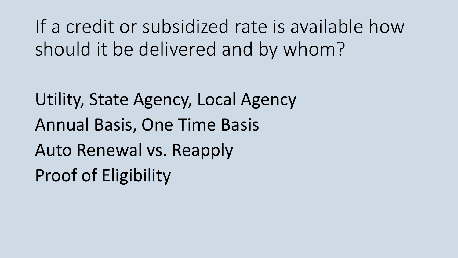If a credit or subsidized rate is available how should it be delivered and by whom?

Utility, State Agency, Local Agency Annual Basis, One Time Basis Auto Renewal vs. Reapply Proof of Eligibility